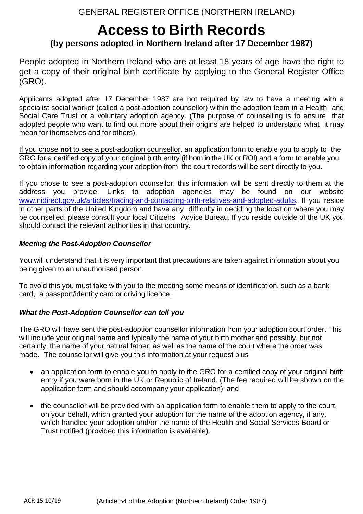## GENERAL REGISTER OFFICE (NORTHERN IRELAND)

# **Access to Birth Records (by persons adopted in Northern Ireland after 17 December 1987)**

People adopted in Northern Ireland who are at least 18 years of age have the right to get a copy of their original birth certificate by applying to the General Register Office (GRO).

Applicants adopted after 17 December 1987 are not required by law to have a meeting with a specialist social worker (called a post-adoption counsellor) within the adoption team in a Health and Social Care Trust or a voluntary adoption agency. (The purpose of counselling is to ensure that adopted people who want to find out more about their origins are helped to understand what it may mean for themselves and for others).

If you chose **not** to see a post-adoption counsellor, an application form to enable you to apply to the GRO for a certified copy of your original birth entry (if born in the UK or ROI) and a form to enable you to obtain information regarding your adoption from the court records will be sent directly to you.

If you chose to see a post-adoption counsellor, this information will be sent directly to them at the address vou provide. Links to adoption agencies may be found on our website you provide. Links to adoption agencies may be found on our website [www.nidirect.gov.uk/articles/tracing-and-contacting-birth-relatives-and-adopted-adults.](http://www.nidirect.gov.uk/articles/tracing-and-contacting-birth-relatives-and-adopted-adults) If you reside in other parts of the United Kingdom and have any difficulty in deciding the location where you may be counselled, please consult your local Citizens Advice Bureau. If you reside outside of the UK you should contact the relevant authorities in that country.

#### *Meeting the Post-Adoption Counsellor*

You will understand that it is very important that precautions are taken against information about you being given to an unauthorised person.

To avoid this you must take with you to the meeting some means of identification, such as a bank card, a passport/identity card or driving licence.

#### *What the Post-Adoption Counsellor can tell you*

The GRO will have sent the post-adoption counsellor information from your adoption court order. This will include your original name and typically the name of your birth mother and possibly, but not certainly, the name of your natural father, as well as the name of the court where the order was made. The counsellor will give you this information at your request plus

- an application form to enable you to apply to the GRO for a certified copy of your original birth entry if you were born in the UK or Republic of Ireland. (The fee required will be shown on the application form and should accompany your application); and
- the counsellor will be provided with an application form to enable them to apply to the court, on your behalf, which granted your adoption for the name of the adoption agency, if any, which handled your adoption and/or the name of the Health and Social Services Board or Trust notified (provided this information is available).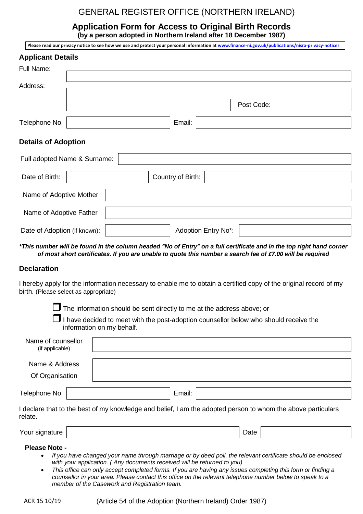## GENERAL REGISTER OFFICE (NORTHERN IRELAND)

## **Application Form for Access to Original Birth Records**

**(by a person adopted in Northern Ireland after 18 December 1987)**

Post Code: Telephone No. | No. | Email: **Details of Adoption** Full adopted Name & Surname: Date of Birth:  $\vert$  Country of Birth: Name of Adoptive Mother Name of Adoptive Father Date of Adoption (if known):  $\parallel$  Adoption Entry No\*: **Applicant Details** Full Name: Address: **Please read our privacy notice to see how we use and protect your personal information at [www.finance-ni.gov.uk/publications/nisra-privacy-notices](http://www.finance-ni.gov.uk/publications/nisra-privacy-notices)**

*\*This number will be found in the column headed "No of Entry" on a full certificate and in the top right hand corner of most short certificates. If you are unable to quote this number a search fee of £7.00 will be required*

#### **Declaration**

I hereby apply for the information necessary to enable me to obtain a certified copy of the original record of my birth. (Please select as appropriate)

 $\Box$  The information should be sent directly to me at the address above; or

I have decided to meet with the post-adoption counsellor below who should receive the information on my behalf.

| Name of counsellor<br>(if applicable) |                                                                                                              |
|---------------------------------------|--------------------------------------------------------------------------------------------------------------|
| Name & Address                        |                                                                                                              |
| Of Organisation                       |                                                                                                              |
| Telephone No.                         | Email:                                                                                                       |
| relate.                               | I declare that to the best of my knowledge and belief, I am the adopted person to whom the above particulars |
| Your signature                        | Date                                                                                                         |
| <b>Please Note -</b>                  | If you have changed your name through marriage or by deed noll, the relevant certificate should be enclosed  |

- *If you have changed your name through marriage or by deed poll, the relevant certificate should be enclosed with your application. ( Any documents received will be returned to you)*
- *This office can only accept completed forms. If you are having any issues completing this form or finding a counsellor in your area. Please contact this office on the relevant telephone number below to speak to a member of the Casework and Registration team.*